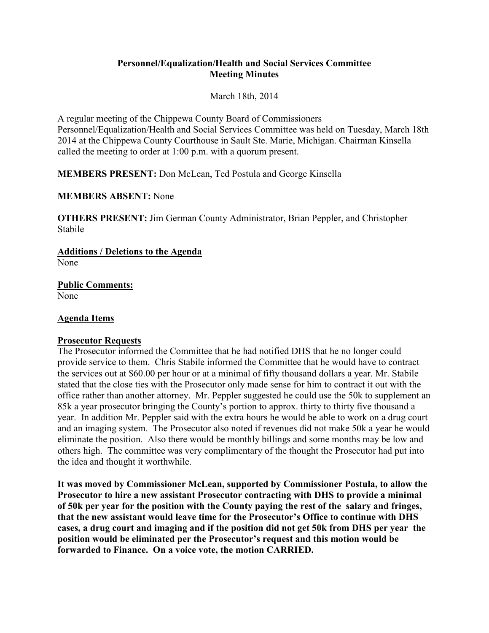# **Personnel/Equalization/Health and Social Services Committee Meeting Minutes**

March 18th, 2014

A regular meeting of the Chippewa County Board of Commissioners Personnel/Equalization/Health and Social Services Committee was held on Tuesday, March 18th 2014 at the Chippewa County Courthouse in Sault Ste. Marie, Michigan. Chairman Kinsella called the meeting to order at 1:00 p.m. with a quorum present.

**MEMBERS PRESENT:** Don McLean, Ted Postula and George Kinsella

**MEMBERS ABSENT:** None

**OTHERS PRESENT:** Jim German County Administrator, Brian Peppler, and Christopher Stabile

**Additions / Deletions to the Agenda**  None

**Public Comments:**  None

# **Agenda Items**

# **Prosecutor Requests**

The Prosecutor informed the Committee that he had notified DHS that he no longer could provide service to them. Chris Stabile informed the Committee that he would have to contract the services out at \$60.00 per hour or at a minimal of fifty thousand dollars a year. Mr. Stabile stated that the close ties with the Prosecutor only made sense for him to contract it out with the office rather than another attorney. Mr. Peppler suggested he could use the 50k to supplement an 85k a year prosecutor bringing the County's portion to approx. thirty to thirty five thousand a year. In addition Mr. Peppler said with the extra hours he would be able to work on a drug court and an imaging system. The Prosecutor also noted if revenues did not make 50k a year he would eliminate the position. Also there would be monthly billings and some months may be low and others high. The committee was very complimentary of the thought the Prosecutor had put into the idea and thought it worthwhile.

**It was moved by Commissioner McLean, supported by Commissioner Postula, to allow the Prosecutor to hire a new assistant Prosecutor contracting with DHS to provide a minimal of 50k per year for the position with the County paying the rest of the salary and fringes, that the new assistant would leave time for the Prosecutor's Office to continue with DHS cases, a drug court and imaging and if the position did not get 50k from DHS per year the position would be eliminated per the Prosecutor's request and this motion would be forwarded to Finance. On a voice vote, the motion CARRIED.**